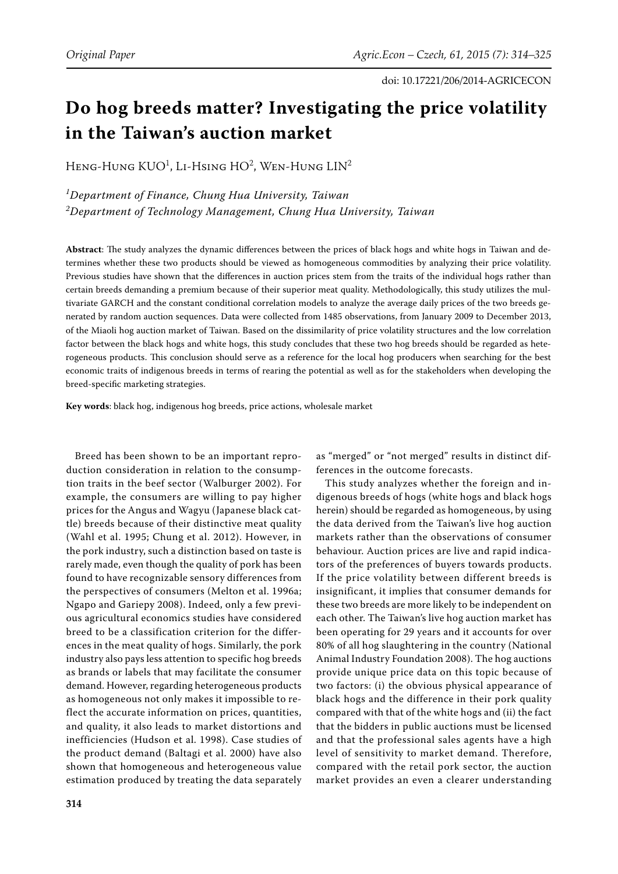# **Do hog breeds matter? Investigating the price volatility in the Taiwan's auction market**

Heng-Hung KUO<sup>1</sup>, Li-Hsing HO<sup>2</sup>, Wen-Hung LIN<sup>2</sup>

*1 Department of Finance, Chung Hua University, Taiwan 2 Department of Technology Management, Chung Hua University, Taiwan*

Abstract: The study analyzes the dynamic differences between the prices of black hogs and white hogs in Taiwan and determines whether these two products should be viewed as homogeneous commodities by analyzing their price volatility. Previous studies have shown that the differences in auction prices stem from the traits of the individual hogs rather than certain breeds demanding a premium because of their superior meat quality. Methodologically, this study utilizes the multivariate GARCH and the constant conditional correlation models to analyze the average daily prices of the two breeds generated by random auction sequences. Data were collected from 1485 observations, from January 2009 to December 2013, of the Miaoli hog auction market of Taiwan. Based on the dissimilarity of price volatility structures and the low correlation factor between the black hogs and white hogs, this study concludes that these two hog breeds should be regarded as heterogeneous products. This conclusion should serve as a reference for the local hog producers when searching for the best economic traits of indigenous breeds in terms of rearing the potential as well as for the stakeholders when developing the breed-specific marketing strategies.

**Key words**: black hog, indigenous hog breeds, price actions, wholesale market

Breed has been shown to be an important reproduction consideration in relation to the consumption traits in the beef sector (Walburger 2002). For example, the consumers are willing to pay higher prices for the Angus and Wagyu (Japanese black cattle) breeds because of their distinctive meat quality (Wahl et al. 1995; Chung et al. 2012). However, in the pork industry, such a distinction based on taste is rarely made, even though the quality of pork has been found to have recognizable sensory differences from the perspectives of consumers (Melton et al. 1996a; Ngapo and Gariepy 2008). Indeed, only a few previous agricultural economics studies have considered breed to be a classification criterion for the differences in the meat quality of hogs. Similarly, the pork industry also pays less attention to specific hog breeds as brands or labels that may facilitate the consumer demand. However, regarding heterogeneous products as homogeneous not only makes it impossible to reflect the accurate information on prices, quantities, and quality, it also leads to market distortions and inefficiencies (Hudson et al. 1998). Case studies of the product demand (Baltagi et al. 2000) have also shown that homogeneous and heterogeneous value estimation produced by treating the data separately

as "merged" or "not merged" results in distinct differences in the outcome forecasts.

This study analyzes whether the foreign and indigenous breeds of hogs (white hogs and black hogs herein) should be regarded as homogeneous, by using the data derived from the Taiwan's live hog auction markets rather than the observations of consumer behaviour. Auction prices are live and rapid indicators of the preferences of buyers towards products. If the price volatility between different breeds is insignificant, it implies that consumer demands for these two breeds are more likely to be independent on each other. The Taiwan's live hog auction market has been operating for 29 years and it accounts for over 80% of all hog slaughtering in the country (National Animal Industry Foundation 2008). The hog auctions provide unique price data on this topic because of two factors: (i) the obvious physical appearance of black hogs and the difference in their pork quality compared with that of the white hogs and (ii) the fact that the bidders in public auctions must be licensed and that the professional sales agents have a high level of sensitivity to market demand. Therefore, compared with the retail pork sector, the auction market provides an even a clearer understanding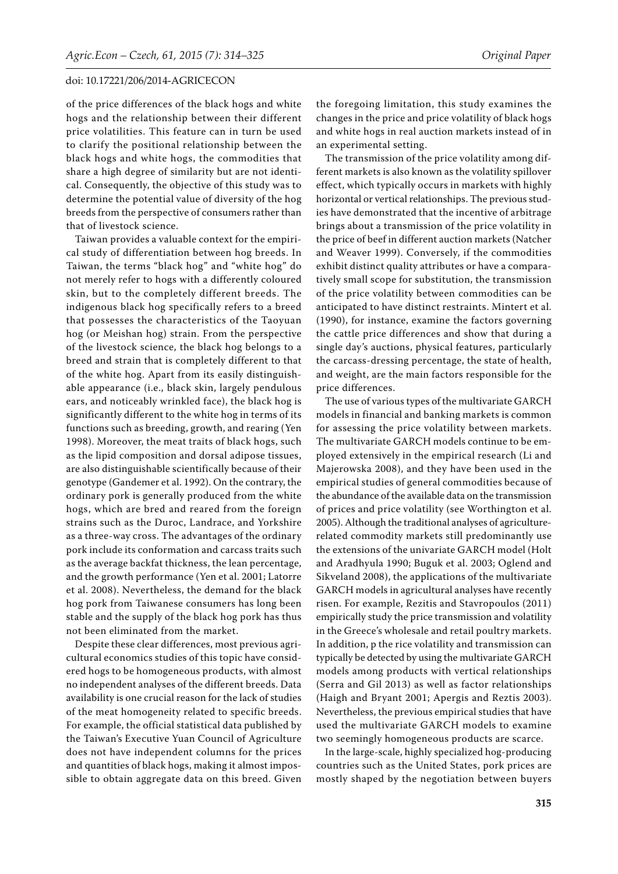of the price differences of the black hogs and white hogs and the relationship between their different price volatilities. This feature can in turn be used to clarify the positional relationship between the black hogs and white hogs, the commodities that share a high degree of similarity but are not identical. Consequently, the objective of this study was to determine the potential value of diversity of the hog breeds from the perspective of consumers rather than that of livestock science.

Taiwan provides a valuable context for the empirical study of differentiation between hog breeds. In Taiwan, the terms "black hog" and "white hog" do not merely refer to hogs with a differently coloured skin, but to the completely different breeds. The indigenous black hog specifically refers to a breed that possesses the characteristics of the Taoyuan hog (or Meishan hog) strain. From the perspective of the livestock science, the black hog belongs to a breed and strain that is completely different to that of the white hog. Apart from its easily distinguishable appearance (i.e., black skin, largely pendulous ears, and noticeably wrinkled face), the black hog is significantly different to the white hog in terms of its functions such as breeding, growth, and rearing (Yen 1998). Moreover, the meat traits of black hogs, such as the lipid composition and dorsal adipose tissues, are also distinguishable scientifically because of their genotype (Gandemer et al. 1992). On the contrary, the ordinary pork is generally produced from the white hogs, which are bred and reared from the foreign strains such as the Duroc, Landrace, and Yorkshire as a three-way cross. The advantages of the ordinary pork include its conformation and carcass traits such as the average backfat thickness, the lean percentage, and the growth performance (Yen et al. 2001; Latorre et al. 2008). Nevertheless, the demand for the black hog pork from Taiwanese consumers has long been stable and the supply of the black hog pork has thus not been eliminated from the market.

Despite these clear differences, most previous agricultural economics studies of this topic have considered hogs to be homogeneous products, with almost no independent analyses of the different breeds. Data availability is one crucial reason for the lack of studies of the meat homogeneity related to specific breeds. For example, the official statistical data published by the Taiwan's Executive Yuan Council of Agriculture does not have independent columns for the prices and quantities of black hogs, making it almost impossible to obtain aggregate data on this breed. Given

the foregoing limitation, this study examines the changes in the price and price volatility of black hogs and white hogs in real auction markets instead of in an experimental setting.

The transmission of the price volatility among different markets is also known as the volatility spillover effect, which typically occurs in markets with highly horizontal or vertical relationships. The previous studies have demonstrated that the incentive of arbitrage brings about a transmission of the price volatility in the price of beef in different auction markets (Natcher and Weaver 1999). Conversely, if the commodities exhibit distinct quality attributes or have a comparatively small scope for substitution, the transmission of the price volatility between commodities can be anticipated to have distinct restraints. Mintert et al. (1990), for instance, examine the factors governing the cattle price differences and show that during a single day's auctions, physical features, particularly the carcass-dressing percentage, the state of health, and weight, are the main factors responsible for the price differences.

The use of various types of the multivariate GARCH models in financial and banking markets is common for assessing the price volatility between markets. The multivariate GARCH models continue to be employed extensively in the empirical research (Li and Majerowska 2008), and they have been used in the empirical studies of general commodities because of the abundance of the available data on the transmission of prices and price volatility (see Worthington et al. 2005). Although the traditional analyses of agriculturerelated commodity markets still predominantly use the extensions of the univariate GARCH model (Holt and Aradhyula 1990; Buguk et al. 2003; Oglend and Sikveland 2008), the applications of the multivariate GARCH models in agricultural analyses have recently risen. For example, Rezitis and Stavropoulos (2011) empirically study the price transmission and volatility in the Greece's wholesale and retail poultry markets. In addition, p the rice volatility and transmission can typically be detected by using the multivariate GARCH models among products with vertical relationships (Serra and Gil 2013) as well as factor relationships (Haigh and Bryant 2001; Apergis and Reztis 2003). Nevertheless, the previous empirical studies that have used the multivariate GARCH models to examine two seemingly homogeneous products are scarce.

In the large-scale, highly specialized hog-producing countries such as the United States, pork prices are mostly shaped by the negotiation between buyers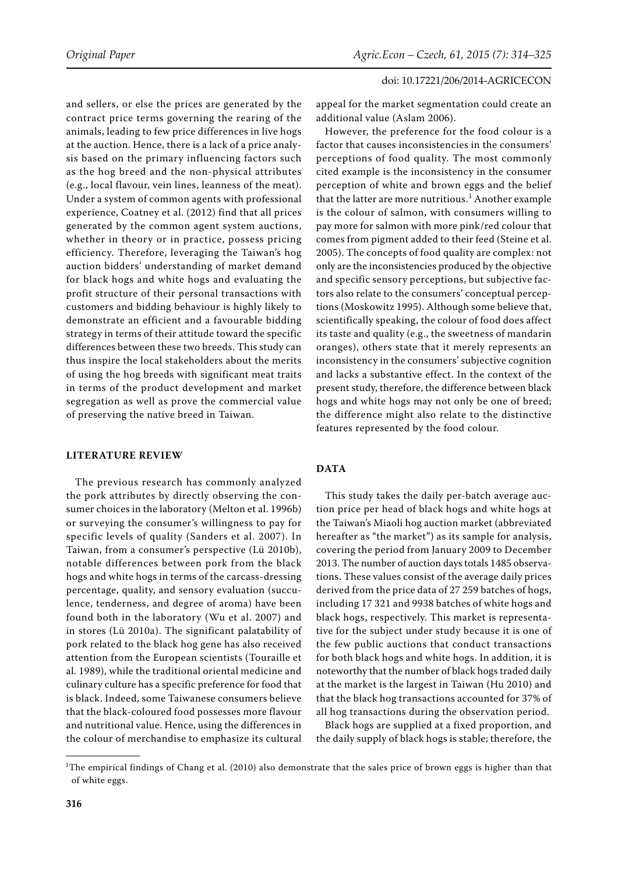and sellers, or else the prices are generated by the contract price terms governing the rearing of the animals, leading to few price differences in live hogs at the auction. Hence, there is a lack of a price analysis based on the primary influencing factors such as the hog breed and the non-physical attributes (e.g., local flavour, vein lines, leanness of the meat). Under a system of common agents with professional experience, Coatney et al. (2012) find that all prices generated by the common agent system auctions, whether in theory or in practice, possess pricing efficiency. Therefore, leveraging the Taiwan's hog auction bidders' understanding of market demand for black hogs and white hogs and evaluating the profit structure of their personal transactions with customers and bidding behaviour is highly likely to demonstrate an efficient and a favourable bidding strategy in terms of their attitude toward the specific differences between these two breeds. This study can thus inspire the local stakeholders about the merits of using the hog breeds with significant meat traits in terms of the product development and market segregation as well as prove the commercial value of preserving the native breed in Taiwan.

## **LITERATURE REVIEW**

The previous research has commonly analyzed the pork attributes by directly observing the consumer choices in the laboratory (Melton et al. 1996b) or surveying the consumer's willingness to pay for specific levels of quality (Sanders et al. 2007). In Taiwan, from a consumer's perspective (Lü 2010b), notable differences between pork from the black hogs and white hogs in terms of the carcass-dressing percentage, quality, and sensory evaluation (succulence, tenderness, and degree of aroma) have been found both in the laboratory (Wu et al. 2007) and in stores (Lü 2010a). The significant palatability of pork related to the black hog gene has also received attention from the European scientists (Touraille et al. 1989), while the traditional oriental medicine and culinary culture has a specific preference for food that is black. Indeed, some Taiwanese consumers believe that the black-coloured food possesses more flavour and nutritional value. Hence, using the differences in the colour of merchandise to emphasize its cultural

appeal for the market segmentation could create an additional value (Aslam 2006).

However, the preference for the food colour is a factor that causes inconsistencies in the consumers' perceptions of food quality. The most commonly cited example is the inconsistency in the consumer perception of white and brown eggs and the belief that the latter are more nutritious.<sup>1</sup> Another example is the colour of salmon, with consumers willing to pay more for salmon with more pink/red colour that comes from pigment added to their feed (Steine et al. 2005). The concepts of food quality are complex: not only are the inconsistencies produced by the objective and specific sensory perceptions, but subjective factors also relate to the consumers' conceptual perceptions (Moskowitz 1995). Although some believe that, scientifically speaking, the colour of food does affect its taste and quality (e.g., the sweetness of mandarin oranges), others state that it merely represents an inconsistency in the consumers' subjective cognition and lacks a substantive effect. In the context of the present study, therefore, the difference between black hogs and white hogs may not only be one of breed; the difference might also relate to the distinctive features represented by the food colour.

### **DATA**

This study takes the daily per-batch average auction price per head of black hogs and white hogs at the Taiwan's Miaoli hog auction market (abbreviated hereafter as "the market") as its sample for analysis, covering the period from January 2009 to December 2013. The number of auction days totals 1485 observations. These values consist of the average daily prices derived from the price data of 27 259 batches of hogs, including 17 321 and 9938 batches of white hogs and black hogs, respectively. This market is representative for the subject under study because it is one of the few public auctions that conduct transactions for both black hogs and white hogs. In addition, it is noteworthy that the number of black hogs traded daily at the market is the largest in Taiwan (Hu 2010) and that the black hog transactions accounted for 37% of all hog transactions during the observation period.

Black hogs are supplied at a fixed proportion, and the daily supply of black hogs is stable; therefore, the

<sup>1</sup> The empirical findings of Chang et al. (2010) also demonstrate that the sales price of brown eggs is higher than that of white eggs.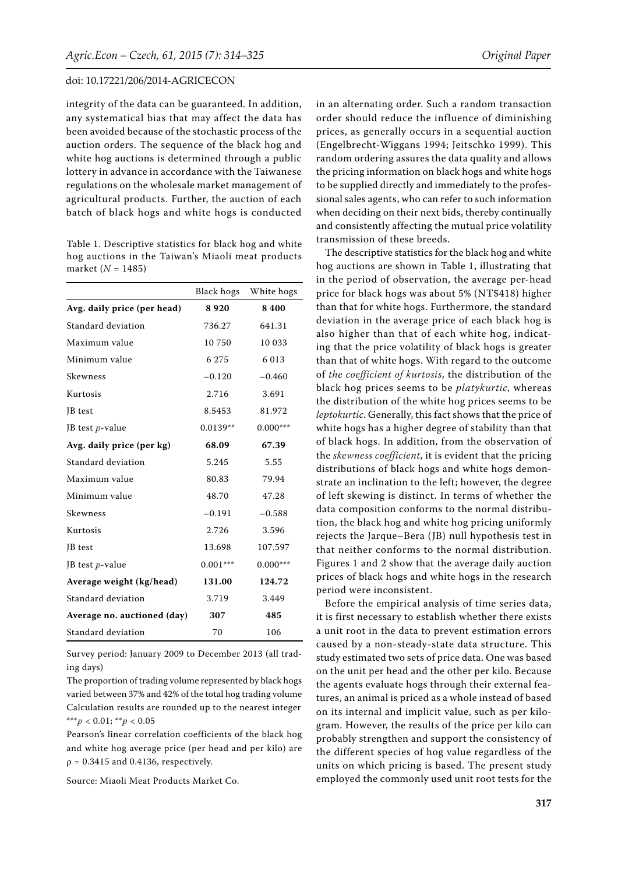integrity of the data can be guaranteed. In addition, any systematical bias that may affect the data has been avoided because of the stochastic process of the auction orders. The sequence of the black hog and white hog auctions is determined through a public lottery in advance in accordance with the Taiwanese regulations on the wholesale market management of agricultural products. Further, the auction of each batch of black hogs and white hogs is conducted

Table 1. Descriptive statistics for black hog and white hog auctions in the Taiwan's Miaoli meat products market (*N* = 1485)

|                             | Black hogs | White hogs |
|-----------------------------|------------|------------|
| Avg. daily price (per head) | 8920       | 8400       |
| Standard deviation          | 736.27     | 641.31     |
| Maximum value               | 10 750     | 10 033     |
| Minimum value               | 6 2 7 5    | 6 0 13     |
| Skewness                    | $-0.120$   | $-0.460$   |
| Kurtosis                    | 2.716      | 3.691      |
| JB test                     | 8.5453     | 81.972     |
| JB test p-value             | $0.0139**$ | $0.000***$ |
| Avg. daily price (per kg)   | 68.09      | 67.39      |
| Standard deviation          | 5.245      | 5.55       |
| Maximum value               | 80.83      | 79.94      |
| Minimum value               | 48.70      | 47.28      |
| Skewness                    | $-0.191$   | $-0.588$   |
| Kurtosis                    | 2.726      | 3.596      |
| JB test                     | 13.698     | 107.597    |
| JB test p-value             | $0.001***$ | $0.000***$ |
| Average weight (kg/head)    | 131.00     | 124.72     |
| Standard deviation          | 3.719      | 3.449      |
| Average no. auctioned (day) | 307        | 485        |
| Standard deviation          | 70         | 106        |

Survey period: January 2009 to December 2013 (all trading days)

The proportion of trading volume represented by black hogs varied between 37% and 42% of the total hog trading volume Calculation results are rounded up to the nearest integer \*\*\**p* < 0.01; \*\**p* < 0.05

Pearson's linear correlation coefficients of the black hog and white hog average price (per head and per kilo) are  $p = 0.3415$  and 0.4136, respectively.

Source: Miaoli Meat Products Market Co.

in an alternating order. Such a random transaction order should reduce the influence of diminishing prices, as generally occurs in a sequential auction (Engelbrecht-Wiggans 1994; Jeitschko 1999). This random ordering assures the data quality and allows the pricing information on black hogs and white hogs to be supplied directly and immediately to the professional sales agents, who can refer to such information when deciding on their next bids, thereby continually and consistently affecting the mutual price volatility transmission of these breeds.

The descriptive statistics for the black hog and white hog auctions are shown in Table 1, illustrating that in the period of observation, the average per-head price for black hogs was about 5% (NT\$418) higher than that for white hogs. Furthermore, the standard deviation in the average price of each black hog is also higher than that of each white hog, indicating that the price volatility of black hogs is greater than that of white hogs. With regard to the outcome of *the coefficient of kurtosis*, the distribution of the black hog prices seems to be *platykurtic*, whereas the distribution of the white hog prices seems to be *leptokurtic*. Generally, this fact shows that the price of white hogs has a higher degree of stability than that of black hogs. In addition, from the observation of the *skewness coefficient*, it is evident that the pricing distributions of black hogs and white hogs demonstrate an inclination to the left; however, the degree of left skewing is distinct. In terms of whether the data composition conforms to the normal distribution, the black hog and white hog pricing uniformly rejects the Jarque–Bera (JB) null hypothesis test in that neither conforms to the normal distribution. Figures 1 and 2 show that the average daily auction prices of black hogs and white hogs in the research period were inconsistent.

Before the empirical analysis of time series data, it is first necessary to establish whether there exists a unit root in the data to prevent estimation errors caused by a non-steady-state data structure. This study estimated two sets of price data. One was based on the unit per head and the other per kilo. Because the agents evaluate hogs through their external features, an animal is priced as a whole instead of based on its internal and implicit value, such as per kilogram. However, the results of the price per kilo can probably strengthen and support the consistency of the different species of hog value regardless of the units on which pricing is based. The present study employed the commonly used unit root tests for the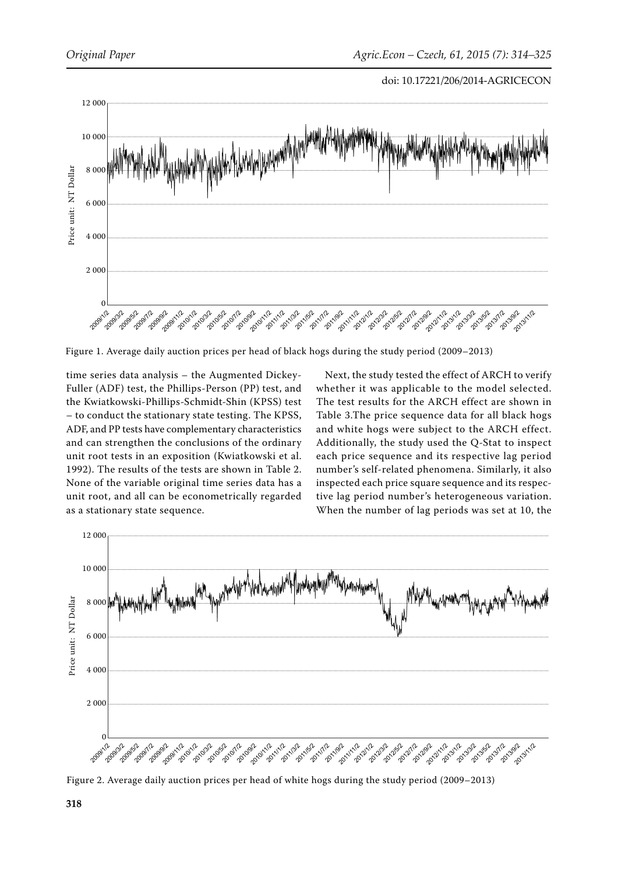

Figure 1. Average daily auction prices per head of black hogs during the study period (2009–2013)

time series data analysis – the Augmented Dickey-Fuller (ADF) test, the Phillips-Person (PP) test, and the Kwiatkowski-Phillips-Schmidt-Shin (KPSS) test – to conduct the stationary state testing. The KPSS, ADF, and PP tests have complementary characteristics and can strengthen the conclusions of the ordinary unit root tests in an exposition (Kwiatkowski et al. 1992). The results of the tests are shown in Table 2. None of the variable original time series data has a unit root, and all can be econometrically regarded as a stationary state sequence.

Next, the study tested the effect of ARCH to verify whether it was applicable to the model selected. The test results for the ARCH effect are shown in Table 3.The price sequence data for all black hogs and white hogs were subject to the ARCH effect. Additionally, the study used the Q-Stat to inspect each price sequence and its respective lag period number's self-related phenomena. Similarly, it also inspected each price square sequence and its respective lag period number's heterogeneous variation. When the number of lag periods was set at 10, the

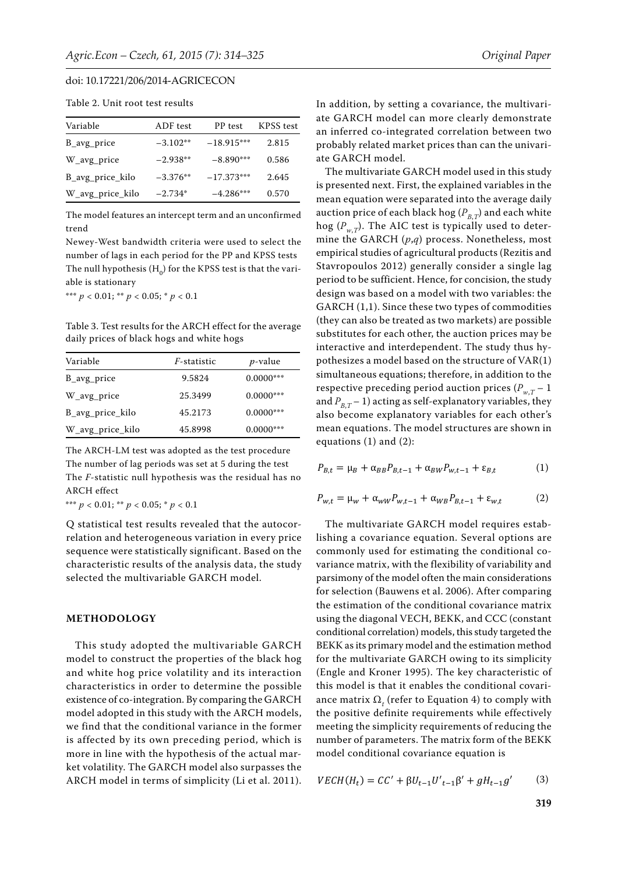| Variable         | ADF test   | PP test      | KPSS test |
|------------------|------------|--------------|-----------|
| B_avg_price      | $-3.102**$ | $-18.915***$ | 2.815     |
| W_avg_price      | $-2.938**$ | $-8.890***$  | 0.586     |
| B_avg_price_kilo | $-3.376**$ | $-17.373***$ | 2.645     |
| W_avg_price_kilo | $-2.734*$  | $-4.286***$  | 0.570     |

The model features an intercept term and an unconfirmed trend

Newey-West bandwidth criteria were used to select the number of lags in each period for the PP and KPSS tests The null hypothesis  $(H_0)$  for the KPSS test is that the variable is stationary

\*\*\*  $p < 0.01$ ; \*\*  $p < 0.05$ ; \*  $p < 0.1$ 

Table 3. Test results for the ARCH effect for the average daily prices of black hogs and white hogs

| Variable         | <i>F</i> -statistic | <i>p</i> -value |
|------------------|---------------------|-----------------|
| B_avg_price      | 9.5824              | $0.0000***$     |
| W_avg_price      | 25.3499             | $0.0000***$     |
| B_avg_price_kilo | 45.2173             | $0.0000***$     |
| W_avg_price_kilo | 45.8998             | $0.0000***$     |

The ARCH-LM test was adopted as the test procedure The number of lag periods was set at 5 during the test The *F*-statistic null hypothesis was the residual has no ARCH effect

\*\*\* *p* < 0.01; \*\* *p* < 0.05; \* *p* < 0.1

Q statistical test results revealed that the autocorrelation and heterogeneous variation in every price sequence were statistically significant. Based on the characteristic results of the analysis data, the study selected the multivariable GARCH model.

## **METHODOLOGY**

This study adopted the multivariable GARCH model to construct the properties of the black hog and white hog price volatility and its interaction characteristics in order to determine the possible existence of co-integration. By comparing the GARCH model adopted in this study with the ARCH models, we find that the conditional variance in the former is affected by its own preceding period, which is more in line with the hypothesis of the actual market volatility. The GARCH model also surpasses the ARCH model in terms of simplicity (Li et al. 2011). In addition, by setting a covariance, the multivariate GARCH model can more clearly demonstrate an inferred co-integrated correlation between two probably related market prices than can the univariate GARCH model.

The multivariate GARCH model used in this study is presented next. First, the explained variables in the mean equation were separated into the average daily auction price of each black hog ( $P_{B,T}$ ) and each white hog  $(P_{wT})$ . The AIC test is typically used to determine the GARCH (*p*,*q*) process. Nonetheless, most empirical studies of agricultural products (Rezitis and Stavropoulos 2012) generally consider a single lag period to be sufficient. Hence, for concision, the study design was based on a model with two variables: the GARCH (1,1). Since these two types of commodities (they can also be treated as two markets) are possible substitutes for each other, the auction prices may be interactive and interdependent. The study thus hypothesizes a model based on the structure of VAR(1) simultaneous equations; therefore, in addition to the respective preceding period auction prices  $(P_{wT} - 1)$ and  $P_{B,T}$  – 1) acting as self-explanatory variables, they also become explanatory variables for each other's mean equations. The model structures are shown in equations (1) and (2):

$$
P_{B,t} = \mu_B + \alpha_{BB} P_{B,t-1} + \alpha_{BW} P_{w,t-1} + \varepsilon_{B,t} \tag{1}
$$

$$
P_{w,t} = \mu_w + \alpha_{ww} P_{w,t-1} + \alpha_{WB} P_{B,t-1} + \varepsilon_{w,t}
$$
 (2)

The multivariate GARCH model requires establishing a covariance equation. Several options are commonly used for estimating the conditional covariance matrix, with the flexibility of variability and parsimony of the model often the main considerations for selection (Bauwens et al. 2006). After comparing the estimation of the conditional covariance matrix using the diagonal VECH, BEKK, and CCC (constant conditional correlation) models, this study targeted the BEKK as its primary model and the estimation method for the multivariate GARCH owing to its simplicity (Engle and Kroner 1995). The key characteristic of this model is that it enables the conditional covariance matrix  $\Omega_t$  (refer to Equation 4) to comply with *t* the positive definite requirements while effectively meeting the simplicity requirements of reducing the number of parameters. The matrix form of the BEKK model conditional covariance equation is

$$
VECH(H_t) = CC' + \beta U_{t-1}U'_{t-1}\beta' + gH_{t-1}g'
$$
 (3)

**319**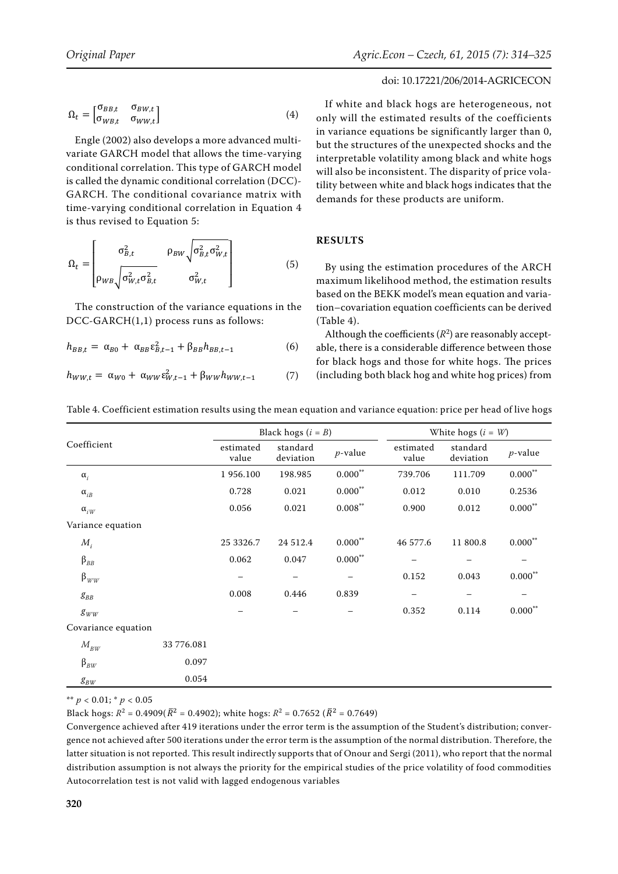$$
\Omega_t = \begin{bmatrix} \sigma_{BB,t} & \sigma_{BW,t} \\ \sigma_{WB,t} & \sigma_{WW,t} \end{bmatrix} \tag{4}
$$

Engle (2002) also develops a more advanced multivariate GARCH model that allows the time-varying conditional correlation. This type of GARCH model is called the dynamic conditional correlation (DCC)- GARCH. The conditional covariance matrix with time-varying conditional correlation in Equation 4 is thus revised to Equation 5:

$$
\Omega_{t} = \begin{bmatrix} \sigma_{B,t}^{2} & \rho_{BW} \sqrt{\sigma_{B,t}^{2} \sigma_{W,t}^{2}} \\ \rho_{WB} \sqrt{\sigma_{W,t}^{2} \sigma_{B,t}^{2}} & \sigma_{W,t}^{2} \end{bmatrix}
$$
(5)

The construction of the variance equations in the DCC-GARCH(1,1) process runs as follows:

$$
h_{BB,t} = \alpha_{B0} + \alpha_{BB} \varepsilon_{B,t-1}^2 + \beta_{BB} h_{BB,t-1} \tag{6}
$$

 $h_{WW,t} = \alpha_{W0} + \alpha_{WW} \varepsilon_{W,t-1}^2 + \beta_{WW} h_{WW,t-1}$  (7)

If white and black hogs are heterogeneous, not only will the estimated results of the coefficients in variance equations be significantly larger than 0, but the structures of the unexpected shocks and the interpretable volatility among black and white hogs will also be inconsistent. The disparity of price volatility between white and black hogs indicates that the demands for these products are uniform.

## **RESULTS**

By using the estimation procedures of the ARCH maximum likelihood method, the estimation results based on the BEKK model's mean equation and variation–covariation equation coefficients can be derived (Table 4).

Although the coefficients  $(R^2)$  are reasonably accept-<br>le thore is a sonsiderable difference between those able, there is a considerable difference between those for black hogs and those for white hogs. The prices (including both black hog and white hog prices) from

|                     |            |                    | Black hogs $(i = B)$  |            | White hogs $(i = W)$ |                       |            |
|---------------------|------------|--------------------|-----------------------|------------|----------------------|-----------------------|------------|
| Coefficient         |            | estimated<br>value | standard<br>deviation | $p$ -value | estimated<br>value   | standard<br>deviation | $p$ -value |
| $\alpha_i$          |            | 1956.100           | 198.985               | $0.000**$  | 739.706              | 111.709               | $0.000**$  |
| $\alpha_{iB}$       |            | 0.728              | 0.021                 | $0.000**$  | 0.012                | 0.010                 | 0.2536     |
| $\alpha_{iW}$       |            | 0.056              | 0.021                 | $0.008***$ | 0.900                | 0.012                 | $0.000***$ |
| Variance equation   |            |                    |                       |            |                      |                       |            |
| $M_i$               |            | 25 3326.7          | 24 512.4              | $0.000**$  | 46 577.6             | 11 800.8              | $0.000**$  |
| $\beta_{BB}$        |            | 0.062              | 0.047                 | $0.000***$ |                      |                       |            |
| $\beta_{WW}$        |            |                    |                       |            | 0.152                | 0.043                 | $0.000**$  |
| $g_{_{BB}}$         |            | 0.008              | 0.446                 | 0.839      |                      |                       |            |
| $g_{WW}$            |            |                    |                       |            | 0.352                | 0.114                 | $0.000**$  |
| Covariance equation |            |                    |                       |            |                      |                       |            |
| $M_{\rm BW}$        | 33 776.081 |                    |                       |            |                      |                       |            |
| $\beta_{BW}$        | 0.097      |                    |                       |            |                      |                       |            |
| $g_{BW}$            | 0.054      |                    |                       |            |                      |                       |            |

Table 4. Coefficient estimation results using the mean equation and variance equation: price per head of live hogs

\*\* *p* < 0.01; \* *p* < 0.05

Black hogs:  $R^2 = 0.4909(\bar{R}^2 = 0.4902)$ ; white hogs:  $R^2 = 0.7652(\bar{R}^2 = 0.7649)$ 

Convergence achieved after 419 iterations under the error term is the assumption of the Student's distribution; convergence not achieved after 500 iterations under the error term is the assumption of the normal distribution. Therefore, the latter situation is not reported. This result indirectly supports that of Onour and Sergi (2011), who report that the normal distribution assumption is not always the priority for the empirical studies of the price volatility of food commodities Autocorrelation test is not valid with lagged endogenous variables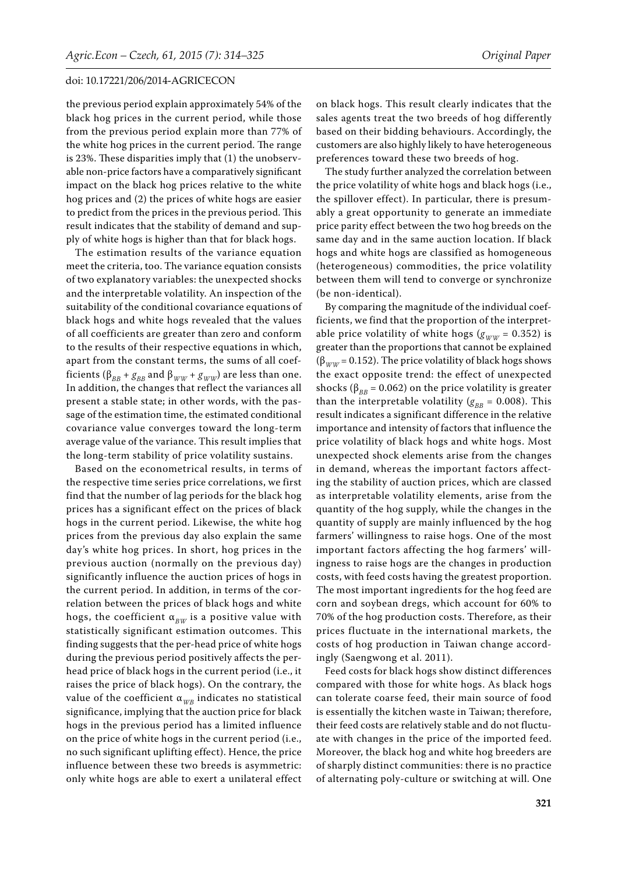the previous period explain approximately 54% of the black hog prices in the current period, while those from the previous period explain more than 77% of the white hog prices in the current period. The range is 23%. These disparities imply that  $(1)$  the unobservable non-price factors have a comparatively significant impact on the black hog prices relative to the white hog prices and (2) the prices of white hogs are easier to predict from the prices in the previous period. This result indicates that the stability of demand and supply of white hogs is higher than that for black hogs.

The estimation results of the variance equation meet the criteria, too. The variance equation consists of two explanatory variables: the unexpected shocks and the interpretable volatility. An inspection of the suitability of the conditional covariance equations of black hogs and white hogs revealed that the values of all coefficients are greater than zero and conform to the results of their respective equations in which, apart from the constant terms, the sums of all coefficients ( $β_{BB} + g_{BB}$  and  $β_{WW} + g_{WW}$ ) are less than one.<br>In addition, the changes that reflect the variances all In addition, the changes that reflect the variances all present a stable state; in other words, with the passage of the estimation time, the estimated conditional covariance value converges toward the long-term average value of the variance. This result implies that the long-term stability of price volatility sustains.

Based on the econometrical results, in terms of the respective time series price correlations, we first find that the number of lag periods for the black hog prices has a significant effect on the prices of black hogs in the current period. Likewise, the white hog prices from the previous day also explain the same day's white hog prices. In short, hog prices in the previous auction (normally on the previous day) significantly influence the auction prices of hogs in the current period. In addition, in terms of the correlation between the prices of black hogs and white hogs, the coefficient  $\alpha_{BW}$  is a positive value with statistically significant activation outcomes. This statistically significant estimation outcomes. This finding suggests that the per-head price of white hogs during the previous period positively affects the perhead price of black hogs in the current period (i.e., it raises the price of black hogs). On the contrary, the value of the coefficient  $\alpha_{WB}$  indicates no statistical<br>significance implying that the quotion price for black significance, implying that the auction price for black hogs in the previous period has a limited influence on the price of white hogs in the current period (i.e., no such significant uplifting effect). Hence, the price influence between these two breeds is asymmetric: only white hogs are able to exert a unilateral effect

on black hogs. This result clearly indicates that the sales agents treat the two breeds of hog differently based on their bidding behaviours. Accordingly, the customers are also highly likely to have heterogeneous preferences toward these two breeds of hog.

The study further analyzed the correlation between the price volatility of white hogs and black hogs (i.e., the spillover effect). In particular, there is presumably a great opportunity to generate an immediate price parity effect between the two hog breeds on the same day and in the same auction location. If black hogs and white hogs are classified as homogeneous (heterogeneous) commodities, the price volatility between them will tend to converge or synchronize (be non-identical).

By comparing the magnitude of the individual coefficients, we find that the proportion of the interpretable price volatility of white hogs ( $g_{WW}$  = 0.352) is greater than the proportions that cannot be explained  $(\beta_{WW} = 0.152)$ . The price volatility of black hogs shows<br>the exact eppecite trands the effect of unexpected the exact opposite trend: the effect of unexpected shocks ( $\beta_{BB} = 0.062$ ) on the price volatility is greater<br>than the interpretable volatility ( $\sigma = 0.008$ ). This than the interpretable volatility ( $g_{BB} = 0.008$ ). This result indicates a significant difference in the relative importance and intensity of factors that influence the price volatility of black hogs and white hogs. Most unexpected shock elements arise from the changes in demand, whereas the important factors affecting the stability of auction prices, which are classed as interpretable volatility elements, arise from the quantity of the hog supply, while the changes in the quantity of supply are mainly influenced by the hog farmers' willingness to raise hogs. One of the most important factors affecting the hog farmers' willingness to raise hogs are the changes in production costs, with feed costs having the greatest proportion. The most important ingredients for the hog feed are corn and soybean dregs, which account for 60% to 70% of the hog production costs. Therefore, as their prices fluctuate in the international markets, the costs of hog production in Taiwan change accordingly (Saengwong et al. 2011).

Feed costs for black hogs show distinct differences compared with those for white hogs. As black hogs can tolerate coarse feed, their main source of food is essentially the kitchen waste in Taiwan; therefore, their feed costs are relatively stable and do not fluctuate with changes in the price of the imported feed. Moreover, the black hog and white hog breeders are of sharply distinct communities: there is no practice of alternating poly-culture or switching at will. One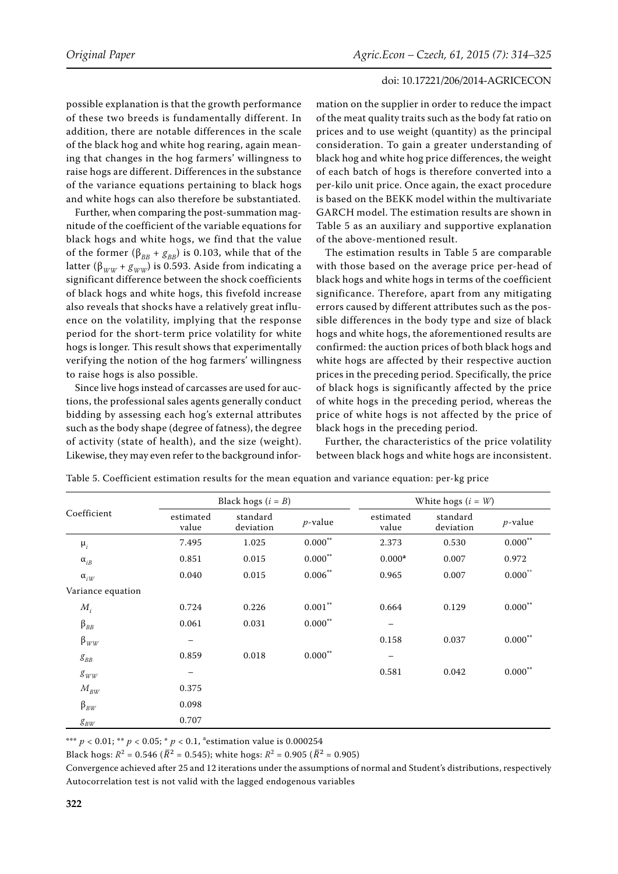possible explanation is that the growth performance of these two breeds is fundamentally different. In addition, there are notable differences in the scale of the black hog and white hog rearing, again meaning that changes in the hog farmers' willingness to raise hogs are different. Differences in the substance of the variance equations pertaining to black hogs and white hogs can also therefore be substantiated.

Further, when comparing the post-summation magnitude of the coefficient of the variable equations for black hogs and white hogs, we find that the value of the former  $(β_{BB} + g_{BB})$  is 0.103, while that of the latter  $(β_{BB} + g_{BB})$  is 0.593. Aside from indicating a latter ( $\beta_{WW}$  +  $g_{WW}$ ) is 0.593. Aside from indicating a<br>significant difference between the shock coefficients significant difference between the shock coefficients of black hogs and white hogs, this fivefold increase also reveals that shocks have a relatively great influence on the volatility, implying that the response period for the short-term price volatility for white hogs is longer. This result shows that experimentally verifying the notion of the hog farmers' willingness to raise hogs is also possible.

Since live hogs instead of carcasses are used for auctions, the professional sales agents generally conduct bidding by assessing each hog's external attributes such as the body shape (degree of fatness), the degree of activity (state of health), and the size (weight). Likewise, they may even refer to the background information on the supplier in order to reduce the impact of the meat quality traits such as the body fat ratio on prices and to use weight (quantity) as the principal consideration. To gain a greater understanding of black hog and white hog price differences, the weight of each batch of hogs is therefore converted into a per-kilo unit price. Once again, the exact procedure is based on the BEKK model within the multivariate GARCH model. The estimation results are shown in Table 5 as an auxiliary and supportive explanation of the above-mentioned result.

The estimation results in Table 5 are comparable with those based on the average price per-head of black hogs and white hogs in terms of the coefficient significance. Therefore, apart from any mitigating errors caused by different attributes such as the possible differences in the body type and size of black hogs and white hogs, the aforementioned results are confirmed: the auction prices of both black hogs and white hogs are affected by their respective auction prices in the preceding period. Specifically, the price of black hogs is significantly affected by the price of white hogs in the preceding period, whereas the price of white hogs is not affected by the price of black hogs in the preceding period.

Further, the characteristics of the price volatility between black hogs and white hogs are inconsistent.

|                             | Black hogs $(i = B)$     |                       |            |                    | White hogs $(i = W)$  |                       |  |
|-----------------------------|--------------------------|-----------------------|------------|--------------------|-----------------------|-----------------------|--|
| Coefficient                 | estimated<br>value       | standard<br>deviation | $p$ -value | estimated<br>value | standard<br>deviation | $p$ -value            |  |
| $\mu_i$                     | 7.495                    | 1.025                 | $0.000***$ | 2.373              | 0.530                 | $0.000***$            |  |
| $\alpha_{iB}$               | 0.851                    | 0.015                 | $0.000***$ | 0.000 <sup>a</sup> | 0.007                 | 0.972                 |  |
| $\alpha_{iW}$               | 0.040                    | 0.015                 | $0.006***$ | 0.965              | 0.007                 | $0.000$ <sup>**</sup> |  |
| Variance equation           |                          |                       |            |                    |                       |                       |  |
| $M_i$                       | 0.724                    | 0.226                 | $0.001***$ | 0.664              | 0.129                 | $0.000^{**}$          |  |
| $\beta_{BB}$                | 0.061                    | 0.031                 | $0.000**$  |                    |                       |                       |  |
| $\beta_{WW}$                | $\qquad \qquad$          |                       |            | 0.158              | 0.037                 | $0.000**$             |  |
| $g_{\scriptscriptstyle BB}$ | 0.859                    | 0.018                 | $0.000**$  | -                  |                       |                       |  |
| $g_{WW}$                    | $\overline{\phantom{m}}$ |                       |            | 0.581              | 0.042                 | $0.000**$             |  |
| $M_{\rm BW}$                | 0.375                    |                       |            |                    |                       |                       |  |
| $\beta_{BW}$                | 0.098                    |                       |            |                    |                       |                       |  |
| $g_{\scriptscriptstyle BW}$ | 0.707                    |                       |            |                    |                       |                       |  |

Table 5. Coefficient estimation results for the mean equation and variance equation: per-kg price

\*\*\* *p* < 0.01; \*\* *p* < 0.05; \* *p* < 0.1, <sup>a</sup> estimation value is 0.000254

Black hogs:  $R^2 = 0.546$  ( $\bar{R}^2 = 0.545$ ); white hogs:  $R^2 = 0.905$  ( $\bar{R}^2 = 0.905$ )

Convergence achieved after 25 and 12 iterations under the assumptions of normal and Student's distributions, respectively Autocorrelation test is not valid with the lagged endogenous variables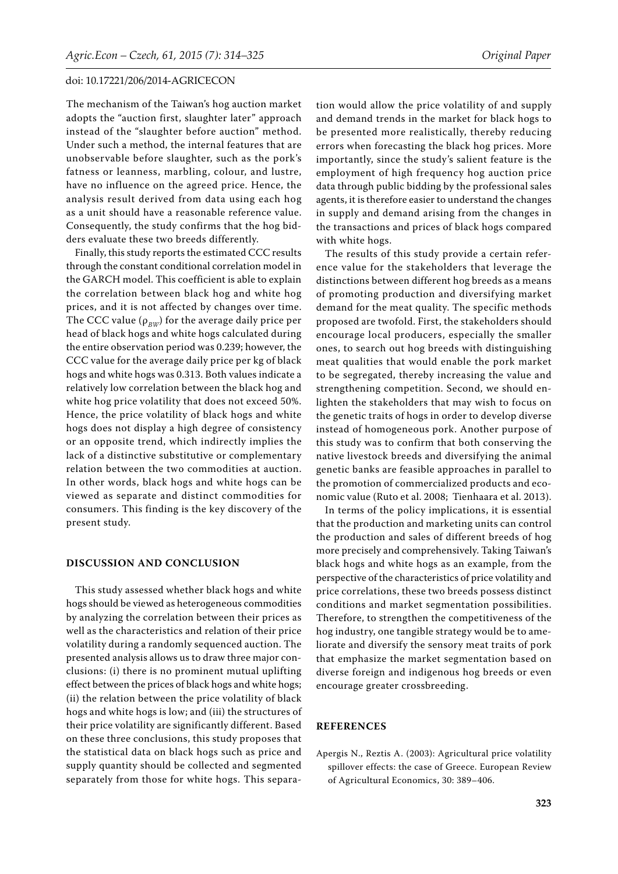The mechanism of the Taiwan's hog auction market adopts the "auction first, slaughter later" approach instead of the "slaughter before auction" method. Under such a method, the internal features that are unobservable before slaughter, such as the pork's fatness or leanness, marbling, colour, and lustre, have no influence on the agreed price. Hence, the analysis result derived from data using each hog as a unit should have a reasonable reference value. Consequently, the study confirms that the hog bidders evaluate these two breeds differently.

Finally, this study reports the estimated CCC results through the constant conditional correlation model in the GARCH model. This coefficient is able to explain the correlation between black hog and white hog prices, and it is not affected by changes over time. The CCC value  $(\rho_{BW})$  for the average daily price per head of black hors and white hors calculated during head of black hogs and white hogs calculated during the entire observation period was 0.239; however, the CCC value for the average daily price per kg of black hogs and white hogs was 0.313. Both values indicate a relatively low correlation between the black hog and white hog price volatility that does not exceed 50%. Hence, the price volatility of black hogs and white hogs does not display a high degree of consistency or an opposite trend, which indirectly implies the lack of a distinctive substitutive or complementary relation between the two commodities at auction. In other words, black hogs and white hogs can be viewed as separate and distinct commodities for consumers. This finding is the key discovery of the present study.

## **DISCUSSION AND CONCLUSION**

This study assessed whether black hogs and white hogs should be viewed as heterogeneous commodities by analyzing the correlation between their prices as well as the characteristics and relation of their price volatility during a randomly sequenced auction. The presented analysis allows us to draw three major conclusions: (i) there is no prominent mutual uplifting effect between the prices of black hogs and white hogs; (ii) the relation between the price volatility of black hogs and white hogs is low; and (iii) the structures of their price volatility are significantly different. Based on these three conclusions, this study proposes that the statistical data on black hogs such as price and supply quantity should be collected and segmented separately from those for white hogs. This separa-

tion would allow the price volatility of and supply and demand trends in the market for black hogs to be presented more realistically, thereby reducing errors when forecasting the black hog prices. More importantly, since the study's salient feature is the employment of high frequency hog auction price data through public bidding by the professional sales agents, it is therefore easier to understand the changes in supply and demand arising from the changes in the transactions and prices of black hogs compared with white hogs.

The results of this study provide a certain reference value for the stakeholders that leverage the distinctions between different hog breeds as a means of promoting production and diversifying market demand for the meat quality. The specific methods proposed are twofold. First, the stakeholders should encourage local producers, especially the smaller ones, to search out hog breeds with distinguishing meat qualities that would enable the pork market to be segregated, thereby increasing the value and strengthening competition. Second, we should enlighten the stakeholders that may wish to focus on the genetic traits of hogs in order to develop diverse instead of homogeneous pork. Another purpose of this study was to confirm that both conserving the native livestock breeds and diversifying the animal genetic banks are feasible approaches in parallel to the promotion of commercialized products and economic value (Ruto et al. 2008; Tienhaara et al. 2013).

In terms of the policy implications, it is essential that the production and marketing units can control the production and sales of different breeds of hog more precisely and comprehensively. Taking Taiwan's black hogs and white hogs as an example, from the perspective of the characteristics of price volatility and price correlations, these two breeds possess distinct conditions and market segmentation possibilities. Therefore, to strengthen the competitiveness of the hog industry, one tangible strategy would be to ameliorate and diversify the sensory meat traits of pork that emphasize the market segmentation based on diverse foreign and indigenous hog breeds or even encourage greater crossbreeding.

### **REFERENCES**

Apergis N., Reztis A. (2003): Agricultural price volatility spillover effects: the case of Greece. European Review of Agricultural Economics, 30: 389–406.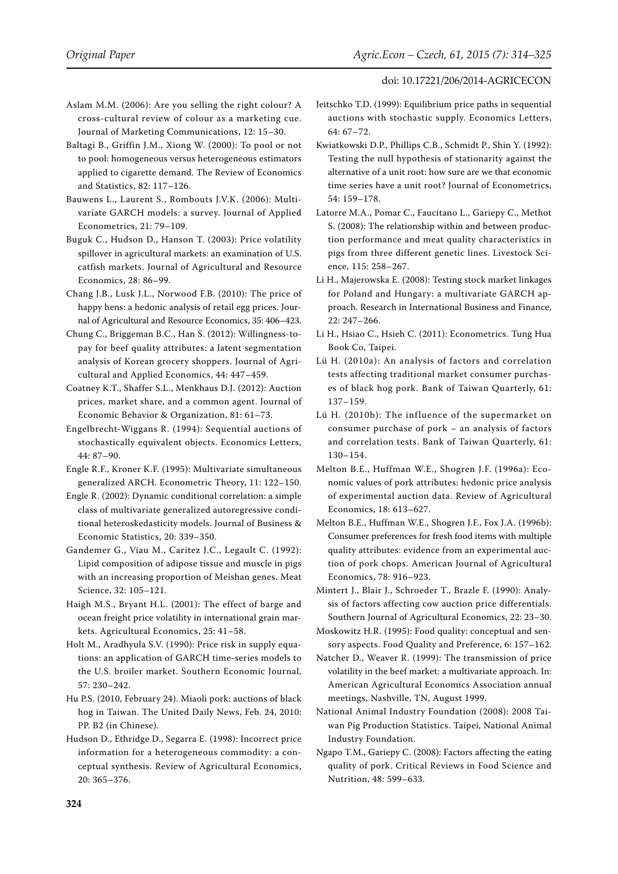- Aslam M.M. (2006): Are you selling the right colour? A cross-cultural review of colour as a marketing cue. Journal of Marketing Communications, 12: 15–30.
- Baltagi B., Griffin J.M., Xiong W. (2000): To pool or not to pool: homogeneous versus heterogeneous estimators applied to cigarette demand. The Review of Economics and Statistics, 82: 117–126.
- Bauwens L., Laurent S., Rombouts J.V.K. (2006): Multivariate GARCH models: a survey. Journal of Applied Econometrics, 21: 79–109.
- Buguk C., Hudson D., Hanson T. (2003): Price volatility spillover in agricultural markets: an examination of U.S. catfish markets. Journal of Agricultural and Resource Economics, 28: 86–99.
- Chang J.B., Lusk J.L., Norwood F.B. (2010): The price of happy hens: a hedonic analysis of retail egg prices. Journal of Agricultural and Resource Economics, 35: 406–423.
- Chung C., Briggeman B.C., Han S. (2012): Willingness-topay for beef quality attributes: a latent segmentation analysis of Korean grocery shoppers. Journal of Agricultural and Applied Economics, 44: 447–459.
- Coatney K.T., Shaffer S.L., Menkhaus D.J. (2012): Auction prices, market share, and a common agent. Journal of Economic Behavior & Organization, 81: 61–73.
- Engelbrecht-Wiggans R. (1994): Sequential auctions of stochastically equivalent objects. Economics Letters, 44: 87–90.
- Engle R.F., Kroner K.F. (1995): Multivariate simultaneous generalized ARCH. Econometric Theory, 11: 122–150.
- Engle R. (2002): Dynamic conditional correlation: a simple class of multivariate generalized autoregressive conditional heteroskedasticity models. Journal of Business & Economic Statistics, 20: 339–350.
- Gandemer G., Viau M., Caritez J.C., Legault C. (1992): Lipid composition of adipose tissue and muscle in pigs with an increasing proportion of Meishan genes. Meat Science, 32: 105–121.
- Haigh M.S., Bryant H.L. (2001): The effect of barge and ocean freight price volatility in international grain markets. Agricultural Economics, 25: 41–58.
- Holt M., Aradhyula S.V. (1990): Price risk in supply equations: an application of GARCH time-series models to the U.S. broiler market. Southern Economic Journal, 57: 230–242.
- Hu P.S. (2010, February 24). Miaoli pork: auctions of black hog in Taiwan. The United Daily News, Feb. 24, 2010: PP. B2 (in Chinese).
- Hudson D., Ethridge D., Segarra E. (1998): Incorrect price information for a heterogeneous commodity: a conceptual synthesis. Review of Agricultural Economics, 20: 365–376.
- Jeitschko T.D. (1999): Equilibrium price paths in sequential auctions with stochastic supply. Economics Letters, 64: 67–72.
- Kwiatkowski D.P., Phillips C.B., Schmidt P., Shin Y. (1992): Testing the null hypothesis of stationarity against the alternative of a unit root: how sure are we that economic time series have a unit root? Journal of Econometrics, 54: 159–178.
- Latorre M.A., Pomar C., Faucitano L., Gariepy C., Methot S. (2008): The relationship within and between production performance and meat quality characteristics in pigs from three different genetic lines. Livestock Science, 115: 258–267.
- Li H., Majerowska E. (2008): Testing stock market linkages for Poland and Hungary: a multivariate GARCH approach. Research in International Business and Finance, 22: 247–266.
- Li H., Hsiao C., Hsieh C. (2011): Econometrics. Tung Hua Book Co, Taipei.
- Lü H. (2010a): An analysis of factors and correlation tests affecting traditional market consumer purchases of black hog pork. Bank of Taiwan Quarterly, 61: 137–159.
- Lü H. (2010b): The influence of the supermarket on consumer purchase of pork – an analysis of factors and correlation tests. Bank of Taiwan Quarterly, 61: 130–154.
- Melton B.E., Huffman W.E., Shogren J.F. (1996a): Economic values of pork attributes: hedonic price analysis of experimental auction data. Review of Agricultural Economics, 18: 613–627.
- Melton B.E., Huffman W.E., Shogren J.F., Fox J.A. (1996b): Consumer preferences for fresh food items with multiple quality attributes: evidence from an experimental auction of pork chops. American Journal of Agricultural Economics, 78: 916–923.
- Mintert J., Blair J., Schroeder T., Brazle F. (1990): Analysis of factors affecting cow auction price differentials. Southern Journal of Agricultural Economics, 22: 23–30.
- Moskowitz H.R. (1995): Food quality: conceptual and sensory aspects. Food Quality and Preference, 6: 157–162.
- Natcher D., Weaver R. (1999): The transmission of price volatility in the beef market: a multivariate approach. In: American Agricultural Economics Association annual meetings, Nashville, TN, August 1999.
- National Animal Industry Foundation (2008): 2008 Taiwan Pig Production Statistics. Taipei, National Animal Industry Foundation.
- Ngapo T.M., Gariepy C. (2008): Factors affecting the eating quality of pork. Critical Reviews in Food Science and Nutrition, 48: 599–633.